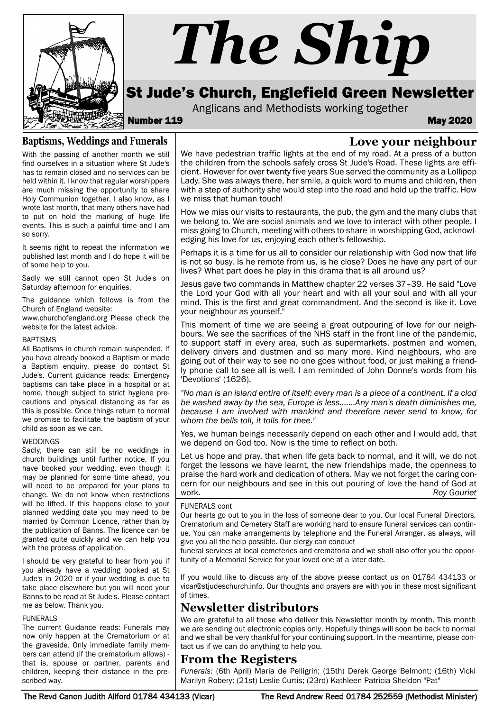

we miss that human touch!

### **Baptisms, Weddings and Funerals**

With the passing of another month we still find ourselves in a situation where St Jude's has to remain closed and no services can be held within it. I know that regular worshippers are much missing the opportunity to share Holy Communion together. I also know, as I wrote last month, that many others have had to put on hold the marking of huge life events. This is such a painful time and I am so sorry.

It seems right to repeat the information we published last month and I do hope it will be of some help to you.

Sadly we still cannot open St Jude's on Saturday afternoon for enquiries.

The guidance which follows is from the Church of England website:

www.churchofengland.org Please check the website for the latest advice.

#### **BAPTISMS**

All Baptisms in church remain suspended. If you have already booked a Baptism or made a Baptism enquiry, please do contact St Jude's. Current guidance reads: Emergency baptisms can take place in a hospital or at home, though subject to strict hygiene precautions and physical distancing as far as this is possible. Once things return to normal we promise to facilitate the baptism of your child as soon as we can.

#### **WEDDINGS**

Sadly, there can still be no weddings in church buildings until further notice. If you have booked your wedding, even though it may be planned for some time ahead, you will need to be prepared for your plans to change. We do not know when restrictions will be lifted. If this happens close to your planned wedding date you may need to be married by Common Licence, rather than by the publication of Banns. The licence can be granted quite quickly and we can help you with the process of application.

I should be very grateful to hear from you if you already have a wedding booked at St Jude's in 2020 or if your wedding is due to take place elsewhere but you will need your Banns to be read at St Jude's. Please contact me as below. Thank you.

#### FUNERALS

The current Guidance reads: Funerals may now only happen at the Crematorium or at the graveside. Only immediate family members can attend (if the crematorium allows) that is, spouse or partner, parents and children, keeping their distance in the prescribed way.

**Love your neighbour** We have pedestrian traffic lights at the end of my road. At a press of a button the children from the schools safely cross St Jude's Road. These lights are efficient. However for over twenty five years Sue served the community as a Lollipop Lady. She was always there, her smile, a quick word to mums and children, then with a step of authority she would step into the road and hold up the traffic. How

How we miss our visits to restaurants, the pub, the gym and the many clubs that we belong to. We are social animals and we love to interact with other people. I miss going to Church, meeting with others to share in worshipping God, acknowledging his love for us, enjoying each other's fellowship.

Perhaps it is a time for us all to consider our relationship with God now that life is not so busy. Is he remote from us, is he close? Does he have any part of our lives? What part does he play in this drama that is all around us?

Jesus gave two commands in Matthew chapter 22 verses 37–39. He said "Love the Lord your God with all your heart and with all your soul and with all your mind. This is the first and great commandment. And the second is like it. Love your neighbour as yourself."

This moment of time we are seeing a great outpouring of love for our neighbours. We see the sacrifices of the NHS staff in the front line of the pandemic, to support staff in every area, such as supermarkets, postmen and women, delivery drivers and dustmen and so many more. Kind neighbours, who are going out of their way to see no one goes without food, or just making a friendly phone call to see all is well. I am reminded of John Donne's words from his 'Devotions' (1626).

*"No man is an island entire of itself: every man is a piece of a continent. If a clod be washed away by the sea, Europe is less…….Any man's death diminishes me, because I am involved with mankind and therefore never send to know, for whom the bells toll, it tolls for thee."*

Yes, we human beings necessarily depend on each other and I would add, that we depend on God too. Now is the time to reflect on both.

Let us hope and pray, that when life gets back to normal, and it will, we do not forget the lessons we have learnt, the new friendships made, the openness to praise the hard work and dedication of others. May we not forget the caring concern for our neighbours and see in this out pouring of love the hand of God at work. *Roy Gouriet*

### FUNERALS cont

Our hearts go out to you in the loss of someone dear to you. Our local Funeral Directors, Crematorium and Cemetery Staff are working hard to ensure funeral services can continue. You can make arrangements by telephone and the Funeral Arranger, as always, will give you all the help possible. Our clergy can conduct

funeral services at local cemeteries and crematoria and we shall also offer you the opportunity of a Memorial Service for your loved one at a later date.

If you would like to discuss any of the above please contact us on 01784 434133 or vicar@stjudeschurch.info. Our thoughts and prayers are with you in these most significant of times.

## **Newsletter distributors**

We are grateful to all those who deliver this Newsletter month by month. This month we are sending out electronic copies only. Hopefully things will soon be back to normal and we shall be very thankful for your continuing support. In the meantime, please contact us if we can do anything to help you.

## **From the Registers**

*Funerals:* (6th April) Maria de Pelligrin; (15th) Derek George Belmont; (16th) Vicki Marilyn Robery; (21st) Leslie Curtis; (23rd) Kathleen Patricia Sheldon "Pat"

The Revd Canon Judith Allford 01784 434133 (Vicar) The Revd Andrew Reed 01784 252559 (Methodist Minister)